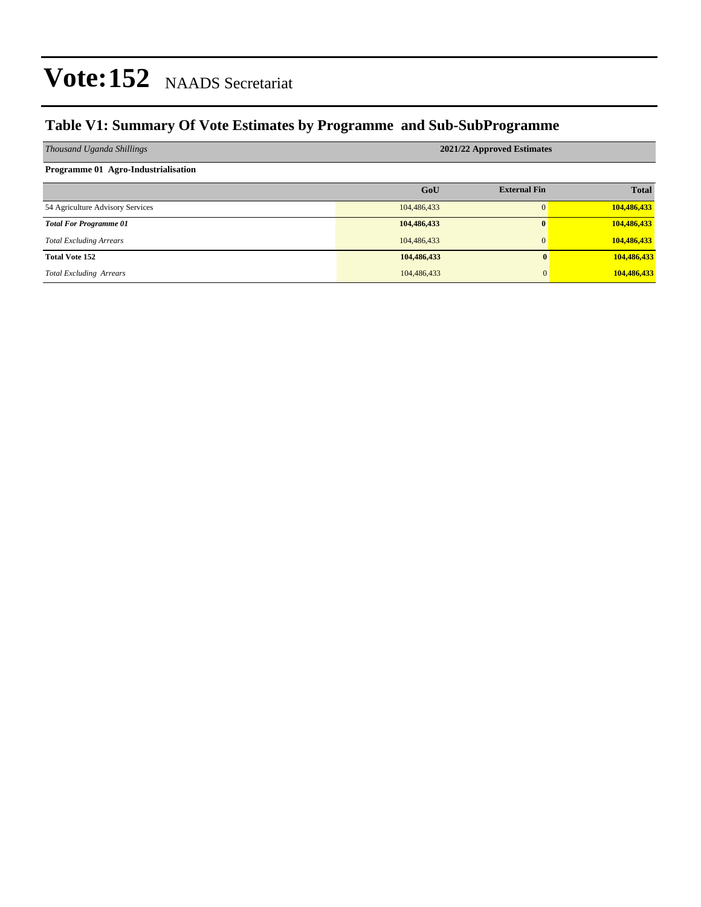### **Table V1: Summary Of Vote Estimates by Programme and Sub-SubProgramme**

| Thousand Uganda Shillings           | 2021/22 Approved Estimates |                     |              |  |  |  |  |
|-------------------------------------|----------------------------|---------------------|--------------|--|--|--|--|
| Programme 01 Agro-Industrialisation |                            |                     |              |  |  |  |  |
|                                     | GoU                        | <b>External Fin</b> | <b>Total</b> |  |  |  |  |
| 54 Agriculture Advisory Services    | 104,486,433                | $\Omega$            | 104,486,433  |  |  |  |  |
| <b>Total For Programme 01</b>       | 104,486,433                | $\mathbf{0}$        | 104,486,433  |  |  |  |  |
| <b>Total Excluding Arrears</b>      | 104,486,433                | $\Omega$            | 104,486,433  |  |  |  |  |
| <b>Total Vote 152</b>               | 104,486,433                | $\mathbf{0}$        | 104,486,433  |  |  |  |  |
| <b>Total Excluding Arrears</b>      | 104,486,433                | $\mathbf{0}$        | 104,486,433  |  |  |  |  |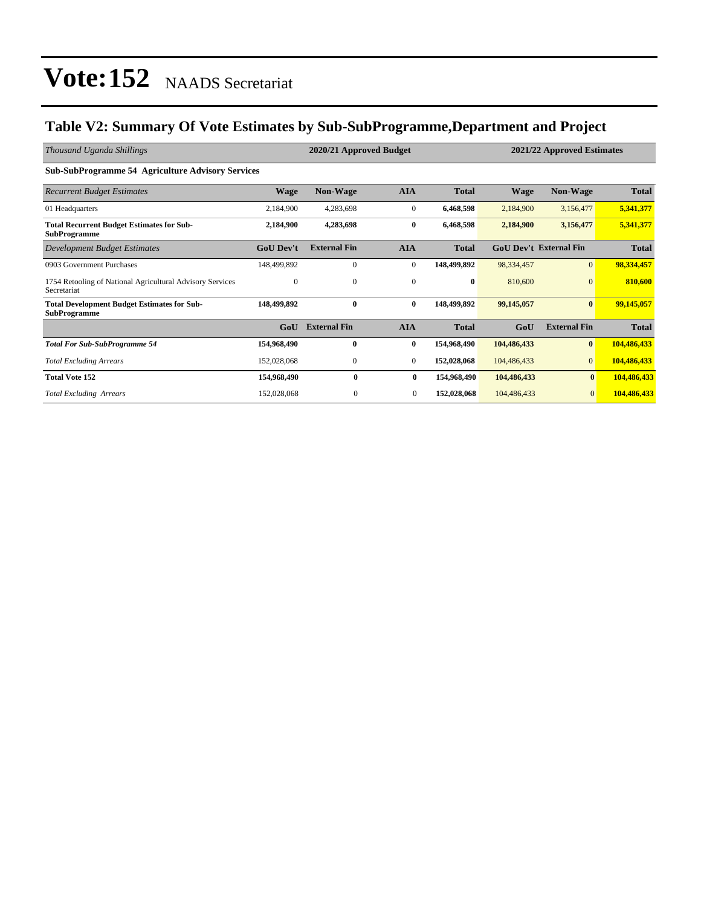### **Table V2: Summary Of Vote Estimates by Sub-SubProgramme,Department and Project**

| Thousand Uganda Shillings                                                 | 2020/21 Approved Budget |                     |              |              |             | 2021/22 Approved Estimates    |              |  |
|---------------------------------------------------------------------------|-------------------------|---------------------|--------------|--------------|-------------|-------------------------------|--------------|--|
| <b>Sub-SubProgramme 54 Agriculture Advisory Services</b>                  |                         |                     |              |              |             |                               |              |  |
| <b>Recurrent Budget Estimates</b>                                         | <b>Wage</b>             | <b>Non-Wage</b>     | <b>AIA</b>   | <b>Total</b> | <b>Wage</b> | <b>Non-Wage</b>               | <b>Total</b> |  |
| 01 Headquarters                                                           | 2,184,900               | 4,283,698           | $\mathbf{0}$ | 6,468,598    | 2,184,900   | 3,156,477                     | 5,341,377    |  |
| <b>Total Recurrent Budget Estimates for Sub-</b><br><b>SubProgramme</b>   | 2,184,900               | 4,283,698           | 0            | 6,468,598    | 2,184,900   | 3,156,477                     | 5,341,377    |  |
| Development Budget Estimates                                              | <b>GoU Dev't</b>        | <b>External Fin</b> | <b>AIA</b>   | <b>Total</b> |             | <b>GoU Dev't External Fin</b> | <b>Total</b> |  |
| 0903 Government Purchases                                                 | 148,499,892             | $\mathbf{0}$        | $\mathbf{0}$ | 148,499,892  | 98,334,457  | $\mathbf{0}$                  | 98,334,457   |  |
| 1754 Retooling of National Agricultural Advisory Services<br>Secretariat  | $\Omega$                | $\Omega$            | $\Omega$     | $\bf{0}$     | 810,600     | $\Omega$                      | 810,600      |  |
| <b>Total Development Budget Estimates for Sub-</b><br><b>SubProgramme</b> | 148,499,892             | $\mathbf{0}$        | 0            | 148,499,892  | 99,145,057  | $\bf{0}$                      | 99,145,057   |  |
|                                                                           | GoU                     | <b>External Fin</b> | <b>AIA</b>   | <b>Total</b> | GoU         | <b>External Fin</b>           | <b>Total</b> |  |
| <b>Total For Sub-SubProgramme 54</b>                                      | 154,968,490             | $\mathbf{0}$        | 0            | 154,968,490  | 104,486,433 | $\bf{0}$                      | 104,486,433  |  |
| <b>Total Excluding Arrears</b>                                            | 152,028,068             | $\boldsymbol{0}$    | $\mathbf{0}$ | 152,028,068  | 104,486,433 | $\mathbf{0}$                  | 104,486,433  |  |
| <b>Total Vote 152</b>                                                     | 154,968,490             | 0                   | $\bf{0}$     | 154,968,490  | 104,486,433 | $\bf{0}$                      | 104,486,433  |  |
| <b>Total Excluding Arrears</b>                                            | 152,028,068             | $\Omega$            | $\mathbf{0}$ | 152,028,068  | 104,486,433 | $\mathbf{0}$                  | 104,486,433  |  |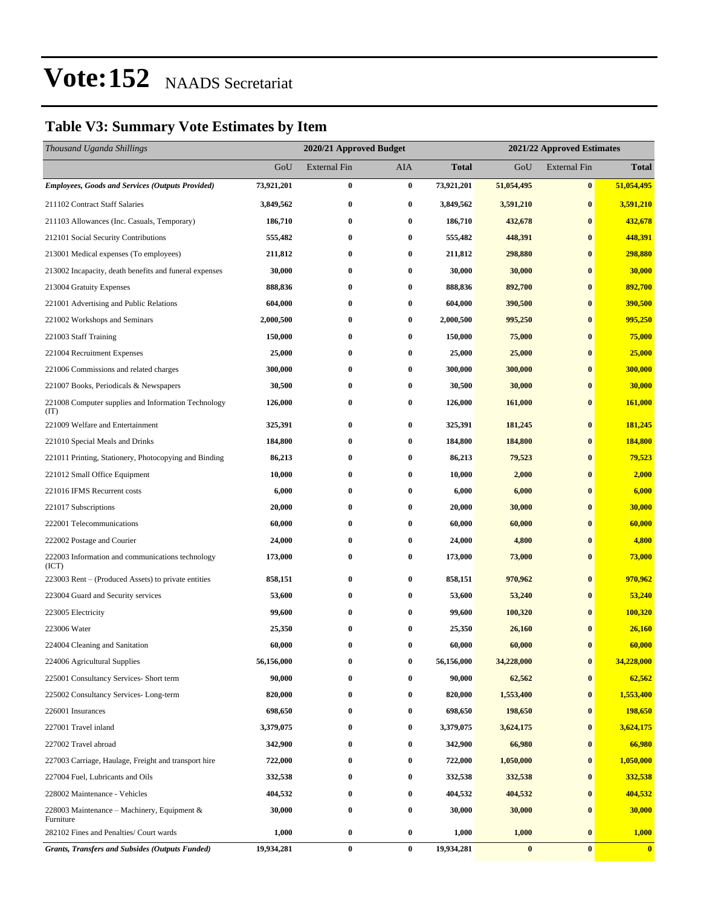### **Table V3: Summary Vote Estimates by Item**

| Thousand Uganda Shillings                                   |            |                     | 2020/21 Approved Budget<br>2021/22 Approved Estimates |              |            |                     |              |
|-------------------------------------------------------------|------------|---------------------|-------------------------------------------------------|--------------|------------|---------------------|--------------|
|                                                             | GoU        | <b>External Fin</b> | <b>AIA</b>                                            | <b>Total</b> | GoU        | <b>External Fin</b> | <b>Total</b> |
| <b>Employees, Goods and Services (Outputs Provided)</b>     | 73,921,201 | $\bf{0}$            | $\bf{0}$                                              | 73,921,201   | 51,054,495 | $\bf{0}$            | 51,054,495   |
| 211102 Contract Staff Salaries                              | 3,849,562  | $\bf{0}$            | $\bf{0}$                                              | 3,849,562    | 3,591,210  | $\bf{0}$            | 3,591,210    |
| 211103 Allowances (Inc. Casuals, Temporary)                 | 186,710    | $\bf{0}$            | $\bf{0}$                                              | 186,710      | 432,678    | $\bf{0}$            | 432,678      |
| 212101 Social Security Contributions                        | 555,482    | $\bf{0}$            | $\bf{0}$                                              | 555,482      | 448,391    | $\bf{0}$            | 448,391      |
| 213001 Medical expenses (To employees)                      | 211,812    | 0                   | $\bf{0}$                                              | 211,812      | 298,880    | $\bf{0}$            | 298,880      |
| 213002 Incapacity, death benefits and funeral expenses      | 30,000     | $\bf{0}$            | $\bf{0}$                                              | 30,000       | 30,000     | $\bf{0}$            | 30,000       |
| 213004 Gratuity Expenses                                    | 888,836    | $\bf{0}$            | $\bf{0}$                                              | 888,836      | 892,700    | $\bf{0}$            | 892,700      |
| 221001 Advertising and Public Relations                     | 604,000    | 0                   | $\bf{0}$                                              | 604,000      | 390,500    | $\bf{0}$            | 390,500      |
| 221002 Workshops and Seminars                               | 2,000,500  | $\bf{0}$            | $\bf{0}$                                              | 2,000,500    | 995,250    | $\bf{0}$            | 995,250      |
| 221003 Staff Training                                       | 150,000    | $\bf{0}$            | $\bf{0}$                                              | 150,000      | 75,000     | $\bf{0}$            | 75,000       |
| 221004 Recruitment Expenses                                 | 25,000     | $\bf{0}$            | $\bf{0}$                                              | 25,000       | 25,000     | $\bf{0}$            | 25,000       |
| 221006 Commissions and related charges                      | 300,000    | $\bf{0}$            | $\bf{0}$                                              | 300,000      | 300,000    | $\bf{0}$            | 300,000      |
| 221007 Books, Periodicals & Newspapers                      | 30,500     | 0                   | $\bf{0}$                                              | 30,500       | 30,000     | $\bf{0}$            | 30,000       |
| 221008 Computer supplies and Information Technology<br>(TT) | 126,000    | $\bf{0}$            | $\bf{0}$                                              | 126,000      | 161,000    | $\bf{0}$            | 161,000      |
| 221009 Welfare and Entertainment                            | 325,391    | $\bf{0}$            | $\bf{0}$                                              | 325,391      | 181,245    | $\bf{0}$            | 181,245      |
| 221010 Special Meals and Drinks                             | 184,800    | 0                   | $\bf{0}$                                              | 184,800      | 184,800    | $\bf{0}$            | 184,800      |
| 221011 Printing, Stationery, Photocopying and Binding       | 86,213     | 0                   | $\bf{0}$                                              | 86,213       | 79,523     | $\bf{0}$            | 79,523       |
| 221012 Small Office Equipment                               | 10,000     | $\bf{0}$            | $\bf{0}$                                              | 10,000       | 2,000      | $\bf{0}$            | 2,000        |
| 221016 IFMS Recurrent costs                                 | 6,000      | $\bf{0}$            | $\bf{0}$                                              | 6,000        | 6,000      | $\bf{0}$            | 6,000        |
| 221017 Subscriptions                                        | 20,000     | $\bf{0}$            | 0                                                     | 20,000       | 30,000     | $\bf{0}$            | 30,000       |
| 222001 Telecommunications                                   | 60,000     | 0                   | $\bf{0}$                                              | 60,000       | 60,000     | $\bf{0}$            | 60,000       |
| 222002 Postage and Courier                                  | 24,000     | 0                   | $\bf{0}$                                              | 24,000       | 4,800      | $\bf{0}$            | 4,800        |
| 222003 Information and communications technology<br>(ICT)   | 173,000    | $\bf{0}$            | $\bf{0}$                                              | 173,000      | 73,000     | $\bf{0}$            | 73,000       |
| 223003 Rent – (Produced Assets) to private entities         | 858,151    | $\bf{0}$            | $\bf{0}$                                              | 858,151      | 970,962    | $\bf{0}$            | 970,962      |
| 223004 Guard and Security services                          | 53,600     | $\bf{0}$            | $\bf{0}$                                              | 53,600       | 53,240     | $\bf{0}$            | 53,240       |
| 223005 Electricity                                          | 99,600     | $\bf{0}$            | $\bf{0}$                                              | 99,600       | 100,320    | $\bf{0}$            | 100,320      |
| 223006 Water                                                | 25,350     | 0                   | $\bf{0}$                                              | 25,350       | 26,160     | $\bf{0}$            | 26,160       |
| 224004 Cleaning and Sanitation                              | 60,000     | $\bf{0}$            | $\bf{0}$                                              | 60,000       | 60,000     | $\bf{0}$            | 60,000       |
| 224006 Agricultural Supplies                                | 56,156,000 | 0                   | $\bf{0}$                                              | 56,156,000   | 34,228,000 | $\bf{0}$            | 34,228,000   |
| 225001 Consultancy Services- Short term                     | 90,000     | $\bf{0}$            | $\bf{0}$                                              | 90,000       | 62,562     | $\bf{0}$            | 62,562       |
| 225002 Consultancy Services-Long-term                       | 820,000    | $\bf{0}$            | $\bf{0}$                                              | 820,000      | 1,553,400  | $\bf{0}$            | 1,553,400    |
| 226001 Insurances                                           | 698,650    | 0                   | $\bf{0}$                                              | 698,650      | 198,650    | $\bf{0}$            | 198,650      |
| 227001 Travel inland                                        | 3,379,075  | $\bf{0}$            | $\bf{0}$                                              | 3,379,075    | 3,624,175  | $\bf{0}$            | 3,624,175    |
| 227002 Travel abroad                                        | 342,900    | $\bf{0}$            | $\bf{0}$                                              | 342,900      | 66,980     | $\bf{0}$            | 66,980       |
| 227003 Carriage, Haulage, Freight and transport hire        | 722,000    | $\bf{0}$            | $\bf{0}$                                              | 722,000      | 1,050,000  | $\bf{0}$            | 1,050,000    |
| 227004 Fuel, Lubricants and Oils                            | 332,538    | $\bf{0}$            | $\bf{0}$                                              | 332,538      | 332,538    | $\bf{0}$            | 332,538      |
| 228002 Maintenance - Vehicles                               | 404,532    | 0                   | $\bf{0}$                                              | 404,532      | 404,532    | $\bf{0}$            | 404,532      |
| 228003 Maintenance – Machinery, Equipment $\&$<br>Furniture | 30,000     | $\bf{0}$            | $\bf{0}$                                              | 30,000       | 30,000     | $\bf{0}$            | 30,000       |
| 282102 Fines and Penalties/ Court wards                     | 1,000      | $\bf{0}$            | $\bf{0}$                                              | 1,000        | 1,000      | $\bf{0}$            | 1,000        |
| <b>Grants, Transfers and Subsides (Outputs Funded)</b>      | 19,934,281 | $\boldsymbol{0}$    | $\bf{0}$                                              | 19,934,281   | $\bf{0}$   | $\bf{0}$            | $\bf{0}$     |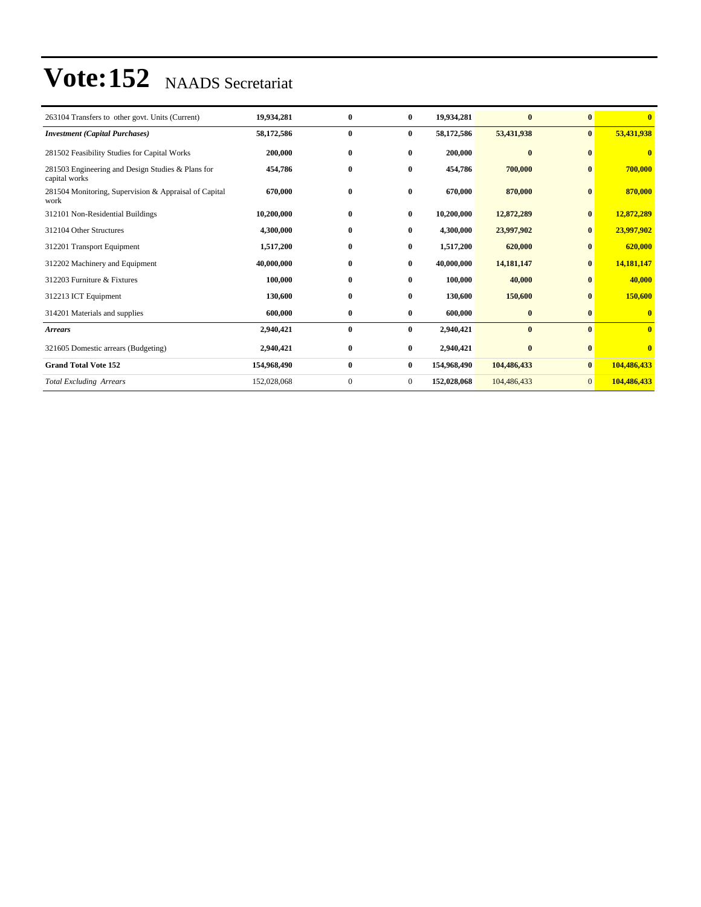| 263104 Transfers to other govt. Units (Current)                    | 19,934,281  | $\bf{0}$     | $\bf{0}$       | 19,934,281  | $\bf{0}$     | $\bf{0}$       | $\mathbf{0}$ |
|--------------------------------------------------------------------|-------------|--------------|----------------|-------------|--------------|----------------|--------------|
| <b>Investment</b> (Capital Purchases)                              | 58,172,586  | $\bf{0}$     | $\bf{0}$       | 58,172,586  | 53,431,938   | $\bf{0}$       | 53,431,938   |
| 281502 Feasibility Studies for Capital Works                       | 200,000     | $\bf{0}$     | $\bf{0}$       | 200,000     | $\bf{0}$     | $\mathbf{0}$   | $\bf{0}$     |
| 281503 Engineering and Design Studies & Plans for<br>capital works | 454,786     | $\bf{0}$     | $\bf{0}$       | 454,786     | 700,000      | $\bf{0}$       | 700,000      |
| 281504 Monitoring, Supervision & Appraisal of Capital<br>work      | 670.000     | $\bf{0}$     | $\bf{0}$       | 670.000     | 870,000      | $\bf{0}$       | 870,000      |
| 312101 Non-Residential Buildings                                   | 10,200,000  | $\bf{0}$     | $\bf{0}$       | 10,200,000  | 12,872,289   | $\bf{0}$       | 12,872,289   |
| 312104 Other Structures                                            | 4,300,000   | $\bf{0}$     | $\bf{0}$       | 4,300,000   | 23,997,902   | $\bf{0}$       | 23,997,902   |
| 312201 Transport Equipment                                         | 1,517,200   | $\bf{0}$     | $\bf{0}$       | 1,517,200   | 620,000      | $\bf{0}$       | 620,000      |
| 312202 Machinery and Equipment                                     | 40,000,000  | $\bf{0}$     | $\mathbf{0}$   | 40,000,000  | 14, 181, 147 | $\mathbf{0}$   | 14,181,147   |
| 312203 Furniture & Fixtures                                        | 100,000     | $\bf{0}$     | $\bf{0}$       | 100,000     | 40,000       | $\mathbf{0}$   | 40,000       |
| 312213 ICT Equipment                                               | 130,600     | $\bf{0}$     | $\bf{0}$       | 130,600     | 150,600      | $\bf{0}$       | 150,600      |
| 314201 Materials and supplies                                      | 600,000     | $\bf{0}$     | $\bf{0}$       | 600,000     | $\bf{0}$     | $\bf{0}$       | $\bf{0}$     |
| <b>Arrears</b>                                                     | 2,940,421   | $\bf{0}$     | $\bf{0}$       | 2,940,421   | $\bf{0}$     | $\mathbf{0}$   | $\bf{0}$     |
| 321605 Domestic arrears (Budgeting)                                | 2,940,421   | $\bf{0}$     | $\bf{0}$       | 2,940,421   | $\bf{0}$     | $\mathbf{0}$   | $\mathbf{0}$ |
| <b>Grand Total Vote 152</b>                                        | 154,968,490 | $\bf{0}$     | $\bf{0}$       | 154,968,490 | 104,486,433  | $\mathbf{0}$   | 104,486,433  |
| <b>Total Excluding Arrears</b>                                     | 152,028,068 | $\mathbf{0}$ | $\overline{0}$ | 152,028,068 | 104,486,433  | $\overline{0}$ | 104,486,433  |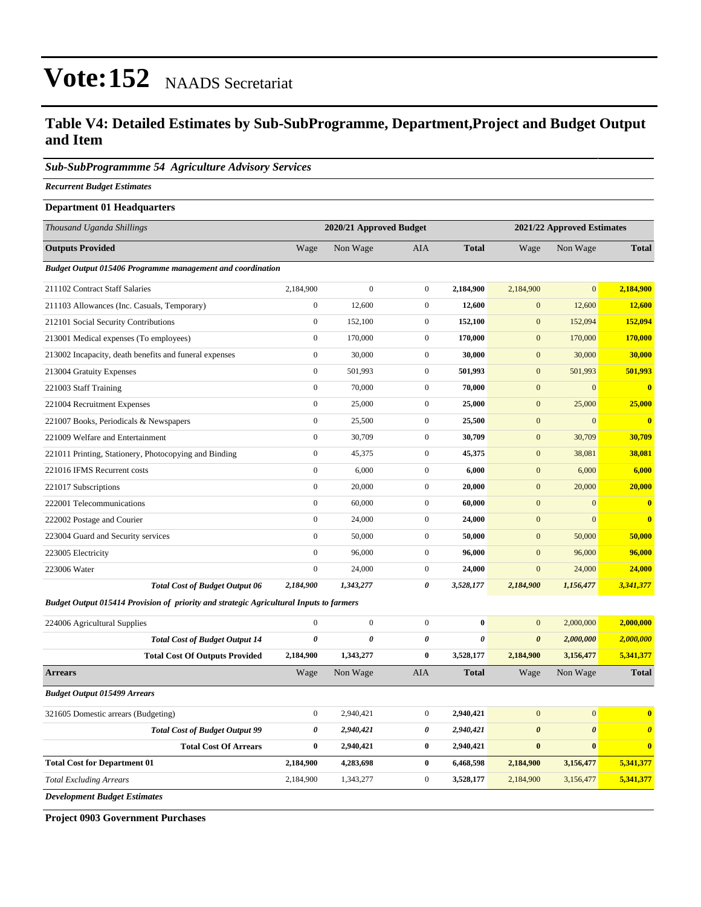### **Table V4: Detailed Estimates by Sub-SubProgramme, Department,Project and Budget Output and Item**

### *Sub-SubProgrammme 54 Agriculture Advisory Services*

*Recurrent Budget Estimates*

### **Department 01 Headquarters**

| Thousand Uganda Shillings                                                               |                       | 2020/21 Approved Budget |                  | 2021/22 Approved Estimates |                       |                       |                       |  |  |
|-----------------------------------------------------------------------------------------|-----------------------|-------------------------|------------------|----------------------------|-----------------------|-----------------------|-----------------------|--|--|
| <b>Outputs Provided</b>                                                                 | Wage                  | Non Wage                | <b>AIA</b>       | <b>Total</b>               | Wage                  | Non Wage              | <b>Total</b>          |  |  |
| <b>Budget Output 015406 Programme management and coordination</b>                       |                       |                         |                  |                            |                       |                       |                       |  |  |
| 211102 Contract Staff Salaries                                                          | 2,184,900             | $\overline{0}$          | $\overline{0}$   | 2,184,900                  | 2,184,900             | $\overline{0}$        | 2,184,900             |  |  |
| 211103 Allowances (Inc. Casuals, Temporary)                                             | $\boldsymbol{0}$      | 12,600                  | $\overline{0}$   | 12,600                     | $\mathbf{0}$          | 12,600                | 12,600                |  |  |
| 212101 Social Security Contributions                                                    | $\boldsymbol{0}$      | 152,100                 | $\overline{0}$   | 152,100                    | $\mathbf{0}$          | 152,094               | 152,094               |  |  |
| 213001 Medical expenses (To employees)                                                  | $\boldsymbol{0}$      | 170,000                 | $\mathbf{0}$     | 170,000                    | $\mathbf{0}$          | 170,000               | 170,000               |  |  |
| 213002 Incapacity, death benefits and funeral expenses                                  | $\boldsymbol{0}$      | 30,000                  | $\boldsymbol{0}$ | 30,000                     | $\mathbf{0}$          | 30,000                | 30,000                |  |  |
| 213004 Gratuity Expenses                                                                | $\boldsymbol{0}$      | 501,993                 | $\mathbf{0}$     | 501,993                    | $\mathbf{0}$          | 501,993               | 501,993               |  |  |
| 221003 Staff Training                                                                   | $\boldsymbol{0}$      | 70,000                  | $\boldsymbol{0}$ | 70,000                     | $\boldsymbol{0}$      | $\mathbf{0}$          | $\bf{0}$              |  |  |
| 221004 Recruitment Expenses                                                             | $\boldsymbol{0}$      | 25,000                  | $\boldsymbol{0}$ | 25,000                     | $\mathbf{0}$          | 25,000                | 25,000                |  |  |
| 221007 Books, Periodicals & Newspapers                                                  | $\boldsymbol{0}$      | 25,500                  | $\mathbf{0}$     | 25,500                     | $\mathbf{0}$          | $\mathbf{0}$          | $\bf{0}$              |  |  |
| 221009 Welfare and Entertainment                                                        | $\boldsymbol{0}$      | 30,709                  | $\boldsymbol{0}$ | 30,709                     | $\mathbf{0}$          | 30,709                | 30,709                |  |  |
| 221011 Printing, Stationery, Photocopying and Binding                                   | $\boldsymbol{0}$      | 45,375                  | $\mathbf{0}$     | 45,375                     | $\mathbf{0}$          | 38,081                | 38,081                |  |  |
| 221016 IFMS Recurrent costs                                                             | $\boldsymbol{0}$      | 6,000                   | $\overline{0}$   | 6,000                      | $\mathbf{0}$          | 6,000                 | 6,000                 |  |  |
| 221017 Subscriptions                                                                    | $\boldsymbol{0}$      | 20,000                  | $\mathbf{0}$     | 20,000                     | $\mathbf{0}$          | 20,000                | 20,000                |  |  |
| 222001 Telecommunications                                                               | $\boldsymbol{0}$      | 60,000                  | $\overline{0}$   | 60,000                     | $\mathbf{0}$          | $\overline{0}$        | $\bf{0}$              |  |  |
| 222002 Postage and Courier                                                              | $\mathbf{0}$          | 24,000                  | $\overline{0}$   | 24,000                     | $\mathbf{0}$          | $\overline{0}$        | $\bf{0}$              |  |  |
| 223004 Guard and Security services                                                      | $\mathbf{0}$          | 50,000                  | $\overline{0}$   | 50,000                     | $\mathbf{0}$          | 50,000                | 50,000                |  |  |
| 223005 Electricity                                                                      | $\boldsymbol{0}$      | 96,000                  | $\boldsymbol{0}$ | 96,000                     | $\mathbf{0}$          | 96,000                | 96,000                |  |  |
| 223006 Water                                                                            | $\boldsymbol{0}$      | 24,000                  | $\mathbf{0}$     | 24,000                     | $\mathbf{0}$          | 24,000                | 24,000                |  |  |
| <b>Total Cost of Budget Output 06</b>                                                   | 2,184,900             | 1,343,277               | 0                | 3,528,177                  | 2,184,900             | 1,156,477             | 3,341,377             |  |  |
| Budget Output 015414 Provision of priority and strategic Agricultural Inputs to farmers |                       |                         |                  |                            |                       |                       |                       |  |  |
| 224006 Agricultural Supplies                                                            | $\boldsymbol{0}$      | $\boldsymbol{0}$        | $\overline{0}$   | $\bf{0}$                   | $\mathbf{0}$          | 2,000,000             | 2,000,000             |  |  |
| <b>Total Cost of Budget Output 14</b>                                                   | $\boldsymbol{\theta}$ | 0                       | 0                | $\boldsymbol{\theta}$      | $\boldsymbol{\theta}$ | 2,000,000             | 2,000,000             |  |  |
| <b>Total Cost Of Outputs Provided</b>                                                   | 2,184,900             | 1,343,277               | $\bf{0}$         | 3,528,177                  | 2,184,900             | 3,156,477             | 5,341,377             |  |  |
| <b>Arrears</b>                                                                          | Wage                  | Non Wage                | <b>AIA</b>       | <b>Total</b>               | Wage                  | Non Wage              | <b>Total</b>          |  |  |
| <b>Budget Output 015499 Arrears</b>                                                     |                       |                         |                  |                            |                       |                       |                       |  |  |
| 321605 Domestic arrears (Budgeting)                                                     | $\boldsymbol{0}$      | 2,940,421               | $\overline{0}$   | 2,940,421                  | $\mathbf{0}$          | $\mathbf{0}$          | $\bf{0}$              |  |  |
| <b>Total Cost of Budget Output 99</b>                                                   | $\boldsymbol{\theta}$ | 2,940,421               | 0                | 2,940,421                  | $\boldsymbol{\theta}$ | $\boldsymbol{\theta}$ | $\boldsymbol{\theta}$ |  |  |
| <b>Total Cost Of Arrears</b>                                                            | $\bf{0}$              | 2,940,421               | $\bf{0}$         | 2,940,421                  | $\bf{0}$              | $\bf{0}$              | $\bf{0}$              |  |  |
| <b>Total Cost for Department 01</b>                                                     | 2,184,900             | 4,283,698               | $\bf{0}$         | 6,468,598                  | 2,184,900             | 3,156,477             | 5,341,377             |  |  |
| <b>Total Excluding Arrears</b>                                                          | 2,184,900             | 1,343,277               | $\boldsymbol{0}$ | 3,528,177                  | 2,184,900             | 3,156,477             | 5,341,377             |  |  |
| <b>Development Budget Estimates</b>                                                     |                       |                         |                  |                            |                       |                       |                       |  |  |

**Project 0903 Government Purchases**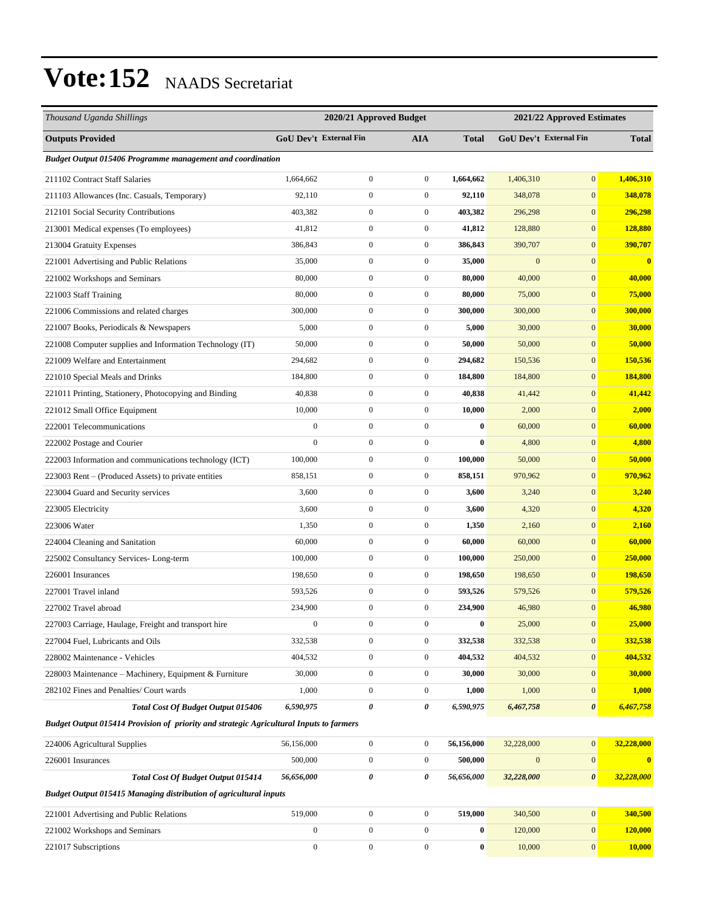| Thousand Uganda Shillings                                                               |                  | 2020/21 Approved Budget |                  |              |                  | 2021/22 Approved Estimates |              |
|-----------------------------------------------------------------------------------------|------------------|-------------------------|------------------|--------------|------------------|----------------------------|--------------|
| <b>Outputs Provided</b>                                                                 |                  | GoU Dev't External Fin  | <b>AIA</b>       | <b>Total</b> |                  | GoU Dev't External Fin     | <b>Total</b> |
| <b>Budget Output 015406 Programme management and coordination</b>                       |                  |                         |                  |              |                  |                            |              |
| 211102 Contract Staff Salaries                                                          | 1,664,662        | $\boldsymbol{0}$        | $\boldsymbol{0}$ | 1,664,662    | 1,406,310        | $\mathbf{0}$               | 1,406,310    |
| 211103 Allowances (Inc. Casuals, Temporary)                                             | 92,110           | $\boldsymbol{0}$        | $\boldsymbol{0}$ | 92,110       | 348,078          | $\mathbf{0}$               | 348,078      |
| 212101 Social Security Contributions                                                    | 403,382          | $\boldsymbol{0}$        | $\boldsymbol{0}$ | 403,382      | 296,298          | $\mathbf{0}$               | 296,298      |
| 213001 Medical expenses (To employees)                                                  | 41,812           | $\boldsymbol{0}$        | $\boldsymbol{0}$ | 41,812       | 128,880          | $\mathbf{0}$               | 128,880      |
| 213004 Gratuity Expenses                                                                | 386,843          | $\boldsymbol{0}$        | $\boldsymbol{0}$ | 386,843      | 390,707          | $\mathbf{0}$               | 390,707      |
| 221001 Advertising and Public Relations                                                 | 35,000           | $\boldsymbol{0}$        | $\boldsymbol{0}$ | 35,000       | $\boldsymbol{0}$ | $\mathbf{0}$               | $\bf{0}$     |
| 221002 Workshops and Seminars                                                           | 80,000           | $\boldsymbol{0}$        | $\boldsymbol{0}$ | 80,000       | 40,000           | $\mathbf{0}$               | 40,000       |
| 221003 Staff Training                                                                   | 80,000           | $\boldsymbol{0}$        | $\boldsymbol{0}$ | 80,000       | 75,000           | $\mathbf{0}$               | 75,000       |
| 221006 Commissions and related charges                                                  | 300,000          | $\boldsymbol{0}$        | $\boldsymbol{0}$ | 300,000      | 300,000          | $\mathbf{0}$               | 300,000      |
| 221007 Books, Periodicals & Newspapers                                                  | 5,000            | $\boldsymbol{0}$        | $\boldsymbol{0}$ | 5,000        | 30,000           | $\mathbf{0}$               | 30,000       |
| 221008 Computer supplies and Information Technology (IT)                                | 50,000           | $\boldsymbol{0}$        | $\boldsymbol{0}$ | 50,000       | 50,000           | $\mathbf{0}$               | 50,000       |
| 221009 Welfare and Entertainment                                                        | 294,682          | $\boldsymbol{0}$        | $\boldsymbol{0}$ | 294,682      | 150,536          | $\boldsymbol{0}$           | 150,536      |
| 221010 Special Meals and Drinks                                                         | 184,800          | $\boldsymbol{0}$        | $\boldsymbol{0}$ | 184,800      | 184,800          | $\mathbf{0}$               | 184,800      |
| 221011 Printing, Stationery, Photocopying and Binding                                   | 40,838           | $\boldsymbol{0}$        | $\boldsymbol{0}$ | 40,838       | 41,442           | $\mathbf{0}$               | 41,442       |
| 221012 Small Office Equipment                                                           | 10,000           | $\boldsymbol{0}$        | $\boldsymbol{0}$ | 10,000       | 2,000            | $\mathbf{0}$               | 2,000        |
| 222001 Telecommunications                                                               | $\boldsymbol{0}$ | $\boldsymbol{0}$        | $\boldsymbol{0}$ | $\bf{0}$     | 60,000           | $\mathbf{0}$               | 60,000       |
| 222002 Postage and Courier                                                              | $\boldsymbol{0}$ | $\boldsymbol{0}$        | $\boldsymbol{0}$ | $\bf{0}$     | 4,800            | $\mathbf{0}$               | 4,800        |
| 222003 Information and communications technology (ICT)                                  | 100,000          | $\boldsymbol{0}$        | $\boldsymbol{0}$ | 100,000      | 50,000           | $\mathbf{0}$               | 50,000       |
| 223003 Rent – (Produced Assets) to private entities                                     | 858,151          | $\boldsymbol{0}$        | $\boldsymbol{0}$ | 858,151      | 970,962          | $\mathbf{0}$               | 970,962      |
| 223004 Guard and Security services                                                      | 3,600            | $\boldsymbol{0}$        | $\boldsymbol{0}$ | 3,600        | 3,240            | $\mathbf{0}$               | 3,240        |
| 223005 Electricity                                                                      | 3,600            | $\boldsymbol{0}$        | $\boldsymbol{0}$ | 3,600        | 4,320            | $\mathbf{0}$               | 4,320        |
| 223006 Water                                                                            | 1,350            | $\boldsymbol{0}$        | $\boldsymbol{0}$ | 1,350        | 2,160            | $\mathbf{0}$               | 2,160        |
| 224004 Cleaning and Sanitation                                                          | 60,000           | $\boldsymbol{0}$        | $\boldsymbol{0}$ | 60,000       | 60,000           | $\mathbf{0}$               | 60,000       |
| 225002 Consultancy Services-Long-term                                                   | 100,000          | $\boldsymbol{0}$        | $\boldsymbol{0}$ | 100,000      | 250,000          | $\mathbf{0}$               | 250,000      |
| 226001 Insurances                                                                       | 198,650          | $\boldsymbol{0}$        | $\boldsymbol{0}$ | 198,650      | 198,650          | $\mathbf{0}$               | 198,650      |
| 227001 Travel inland                                                                    | 593,526          | $\boldsymbol{0}$        | $\boldsymbol{0}$ | 593,526      | 579,526          | $\mathbf{0}$               | 579,526      |
| 227002 Travel abroad                                                                    | 234,900          | $\boldsymbol{0}$        | $\boldsymbol{0}$ | 234,900      | 46,980           | $\mathbf{0}$               | 46,980       |
| 227003 Carriage, Haulage, Freight and transport hire                                    |                  | $\boldsymbol{0}$        | $\boldsymbol{0}$ |              | 25,000           | $\boldsymbol{0}$           | 25,000       |
| 227004 Fuel, Lubricants and Oils                                                        | 332,538          | $\boldsymbol{0}$        | $\boldsymbol{0}$ | 332,538      | 332,538          | $\boldsymbol{0}$           | 332,538      |
| 228002 Maintenance - Vehicles                                                           | 404,532          | $\boldsymbol{0}$        | $\boldsymbol{0}$ | 404,532      | 404,532          | $\boldsymbol{0}$           | 404,532      |
| 228003 Maintenance - Machinery, Equipment & Furniture                                   | 30,000           | $\boldsymbol{0}$        | $\boldsymbol{0}$ | 30,000       | 30,000           | $\mathbf{0}$               | 30,000       |
| 282102 Fines and Penalties/ Court wards                                                 | 1,000            | $\boldsymbol{0}$        | $\boldsymbol{0}$ | 1,000        | 1,000            | $\boldsymbol{0}$           | 1,000        |
| Total Cost Of Budget Output 015406                                                      | 6,590,975        | 0                       | 0                | 6,590,975    | 6,467,758        | $\boldsymbol{\theta}$      | 6,467,758    |
| Budget Output 015414 Provision of priority and strategic Agricultural Inputs to farmers |                  |                         |                  |              |                  |                            |              |
| 224006 Agricultural Supplies                                                            | 56,156,000       | $\boldsymbol{0}$        | $\boldsymbol{0}$ | 56,156,000   | 32,228,000       | $\mathbf{0}$               | 32,228,000   |
| 226001 Insurances                                                                       | 500,000          | $\boldsymbol{0}$        | $\boldsymbol{0}$ | 500,000      | $\mathbf{0}$     | $\boldsymbol{0}$           | $\bf{0}$     |
| Total Cost Of Budget Output 015414                                                      | 56,656,000       | 0                       | 0                | 56,656,000   | 32,228,000       | $\boldsymbol{\theta}$      | 32,228,000   |
| <b>Budget Output 015415 Managing distribution of agricultural inputs</b>                |                  |                         |                  |              |                  |                            |              |
| 221001 Advertising and Public Relations                                                 | 519,000          | $\boldsymbol{0}$        | $\boldsymbol{0}$ | 519,000      | 340,500          | $\boldsymbol{0}$           | 340,500      |
| 221002 Workshops and Seminars                                                           | $\mathbf{0}$     | $\boldsymbol{0}$        | $\boldsymbol{0}$ | $\bf{0}$     | 120,000          | $\boldsymbol{0}$           | 120,000      |
| 221017 Subscriptions                                                                    | $\boldsymbol{0}$ | $\boldsymbol{0}$        | $\boldsymbol{0}$ | $\bf{0}$     | 10,000           | $\mathbf{0}$               | 10,000       |
|                                                                                         |                  |                         |                  |              |                  |                            |              |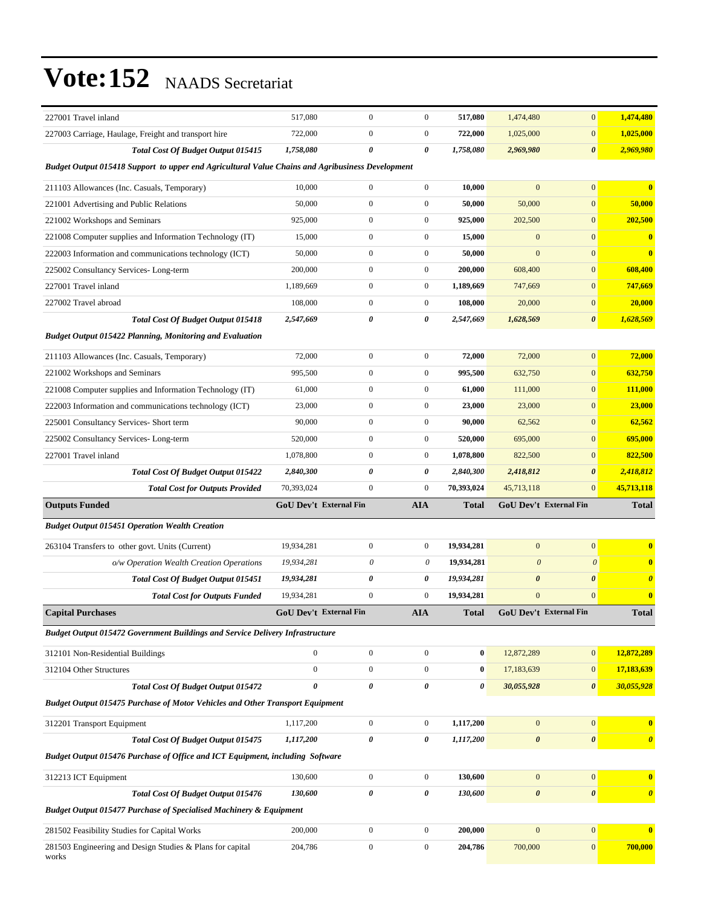| 227001 Travel inland                                                                             | 517,080                       | $\boldsymbol{0}$ | $\boldsymbol{0}$ | 517,080      | 1,474,480                     | $\mathbf{0}$          | 1,474,480             |  |  |
|--------------------------------------------------------------------------------------------------|-------------------------------|------------------|------------------|--------------|-------------------------------|-----------------------|-----------------------|--|--|
| 227003 Carriage, Haulage, Freight and transport hire                                             | 722,000                       | $\boldsymbol{0}$ | $\boldsymbol{0}$ | 722,000      | 1,025,000                     | $\mathbf{0}$          | 1,025,000             |  |  |
| Total Cost Of Budget Output 015415                                                               | 1,758,080                     | 0                | 0                | 1,758,080    | 2,969,980                     | $\boldsymbol{\theta}$ | 2,969,980             |  |  |
| Budget Output 015418 Support to upper end Agricultural Value Chains and Agribusiness Development |                               |                  |                  |              |                               |                       |                       |  |  |
| 211103 Allowances (Inc. Casuals, Temporary)                                                      | 10,000                        | $\boldsymbol{0}$ | $\boldsymbol{0}$ | 10,000       | $\mathbf{0}$                  | $\mathbf{0}$          | $\bf{0}$              |  |  |
| 221001 Advertising and Public Relations                                                          | 50,000                        | $\boldsymbol{0}$ | $\boldsymbol{0}$ | 50,000       | 50,000                        | $\mathbf{0}$          | 50,000                |  |  |
| 221002 Workshops and Seminars                                                                    | 925,000                       | 0                | $\boldsymbol{0}$ | 925,000      | 202,500                       | $\mathbf{0}$          | 202,500               |  |  |
| 221008 Computer supplies and Information Technology (IT)                                         | 15,000                        | $\boldsymbol{0}$ | $\boldsymbol{0}$ | 15,000       | $\mathbf{0}$                  | $\mathbf{0}$          | $\bf{0}$              |  |  |
| 222003 Information and communications technology (ICT)                                           | 50,000                        | $\boldsymbol{0}$ | $\boldsymbol{0}$ | 50,000       | $\mathbf{0}$                  | $\mathbf{0}$          | $\bf{0}$              |  |  |
| 225002 Consultancy Services-Long-term                                                            | 200,000                       | $\boldsymbol{0}$ | $\boldsymbol{0}$ | 200,000      | 608,400                       | $\boldsymbol{0}$      | 608,400               |  |  |
| 227001 Travel inland                                                                             | 1,189,669                     | $\boldsymbol{0}$ | $\boldsymbol{0}$ | 1,189,669    | 747,669                       | $\mathbf{0}$          | 747,669               |  |  |
| 227002 Travel abroad                                                                             | 108,000                       | $\boldsymbol{0}$ | $\boldsymbol{0}$ | 108,000      | 20,000                        | $\mathbf{0}$          | 20,000                |  |  |
| <b>Total Cost Of Budget Output 015418</b>                                                        | 2,547,669                     | 0                | 0                | 2,547,669    | 1,628,569                     | $\boldsymbol{\theta}$ | 1,628,569             |  |  |
| <b>Budget Output 015422 Planning, Monitoring and Evaluation</b>                                  |                               |                  |                  |              |                               |                       |                       |  |  |
| 211103 Allowances (Inc. Casuals, Temporary)                                                      | 72,000                        | $\boldsymbol{0}$ | $\boldsymbol{0}$ | 72,000       | 72,000                        | $\mathbf{0}$          | 72,000                |  |  |
| 221002 Workshops and Seminars                                                                    | 995,500                       | $\boldsymbol{0}$ | $\boldsymbol{0}$ | 995,500      | 632,750                       | $\mathbf{0}$          | 632,750               |  |  |
| 221008 Computer supplies and Information Technology (IT)                                         | 61,000                        | $\boldsymbol{0}$ | $\boldsymbol{0}$ | 61,000       | 111,000                       | $\mathbf{0}$          | 111,000               |  |  |
| 222003 Information and communications technology (ICT)                                           | 23,000                        | $\boldsymbol{0}$ | $\boldsymbol{0}$ | 23,000       | 23,000                        | $\mathbf{0}$          | 23,000                |  |  |
| 225001 Consultancy Services- Short term                                                          | 90,000                        | $\boldsymbol{0}$ | $\boldsymbol{0}$ | 90,000       | 62,562                        | $\mathbf{0}$          | 62,562                |  |  |
| 225002 Consultancy Services-Long-term                                                            | 520,000                       | $\boldsymbol{0}$ | $\boldsymbol{0}$ | 520,000      | 695,000                       | $\mathbf{0}$          | 695,000               |  |  |
| 227001 Travel inland                                                                             | 1,078,800                     | $\boldsymbol{0}$ | $\boldsymbol{0}$ | 1,078,800    | 822,500                       | $\mathbf{0}$          | 822,500               |  |  |
|                                                                                                  |                               |                  |                  | 2,840,300    | 2,418,812                     | $\boldsymbol{\theta}$ | 2,418,812             |  |  |
| Total Cost Of Budget Output 015422                                                               | 2,840,300                     | 0                | 0                |              |                               |                       |                       |  |  |
| <b>Total Cost for Outputs Provided</b>                                                           | 70,393,024                    | $\boldsymbol{0}$ | $\boldsymbol{0}$ | 70,393,024   | 45,713,118                    | $\mathbf{0}$          | 45,713,118            |  |  |
| <b>Outputs Funded</b>                                                                            | GoU Dev't External Fin        |                  | <b>AIA</b>       | <b>Total</b> | GoU Dev't External Fin        |                       | <b>Total</b>          |  |  |
| <b>Budget Output 015451 Operation Wealth Creation</b>                                            |                               |                  |                  |              |                               |                       |                       |  |  |
| 263104 Transfers to other govt. Units (Current)                                                  | 19,934,281                    | $\boldsymbol{0}$ | $\boldsymbol{0}$ | 19,934,281   | $\bf{0}$                      | $\mathbf{0}$          | $\bf{0}$              |  |  |
| o/w Operation Wealth Creation Operations                                                         | 19.934.281                    | 0                | 0                | 19,934,281   | $\boldsymbol{\theta}$         | $\boldsymbol{\theta}$ | $\mathbf{0}$          |  |  |
| <b>Total Cost Of Budget Output 015451</b>                                                        | 19,934,281                    | 0                | 0                | 19,934,281   | $\boldsymbol{\theta}$         | $\boldsymbol{\theta}$ | $\boldsymbol{\theta}$ |  |  |
| <b>Total Cost for Outputs Funded</b>                                                             | 19,934,281                    | $\boldsymbol{0}$ | $\overline{0}$   | 19,934,281   | $\mathbf{0}$                  | $\mathbf{0}$          | $\bf{0}$              |  |  |
| <b>Capital Purchases</b>                                                                         | <b>GoU Dev't External Fin</b> |                  | <b>AIA</b>       | Total        | <b>GoU Dev't External Fin</b> |                       | <b>Total</b>          |  |  |
| <b>Budget Output 015472 Government Buildings and Service Delivery Infrastructure</b>             |                               |                  |                  |              |                               |                       |                       |  |  |
| 312101 Non-Residential Buildings                                                                 | $\boldsymbol{0}$              | $\boldsymbol{0}$ | $\boldsymbol{0}$ | $\pmb{0}$    | 12,872,289                    | $\mathbf{0}$          | 12,872,289            |  |  |
| 312104 Other Structures                                                                          | $\mathbf{0}$                  | $\boldsymbol{0}$ | $\boldsymbol{0}$ | $\bf{0}$     | 17,183,639                    | $\mathbf{0}$          | 17,183,639            |  |  |
| Total Cost Of Budget Output 015472                                                               | $\theta$                      | 0                | 0                | 0            | 30,055,928                    | $\boldsymbol{\theta}$ | 30,055,928            |  |  |
| <b>Budget Output 015475 Purchase of Motor Vehicles and Other Transport Equipment</b>             |                               |                  |                  |              |                               |                       |                       |  |  |
| 312201 Transport Equipment                                                                       | 1,117,200                     | $\boldsymbol{0}$ | $\mathbf{0}$     | 1,117,200    | $\mathbf{0}$                  | $\mathbf{0}$          | $\bf{0}$              |  |  |
| Total Cost Of Budget Output 015475                                                               | 1,117,200                     | 0                | 0                | 1,117,200    | $\pmb{\theta}$                | $\boldsymbol{\theta}$ | $\boldsymbol{\theta}$ |  |  |
| Budget Output 015476 Purchase of Office and ICT Equipment, including Software                    |                               |                  |                  |              |                               |                       |                       |  |  |
| 312213 ICT Equipment                                                                             | 130,600                       | $\boldsymbol{0}$ | $\mathbf{0}$     | 130,600      | $\mathbf{0}$                  | $\mathbf{0}$          | $\bf{0}$              |  |  |
| Total Cost Of Budget Output 015476                                                               | 130,600                       | 0                | 0                | 130,600      | $\pmb{\theta}$                | $\boldsymbol{\theta}$ | $\boldsymbol{\theta}$ |  |  |
| <b>Budget Output 015477 Purchase of Specialised Machinery &amp; Equipment</b>                    |                               |                  |                  |              |                               |                       |                       |  |  |
| 281502 Feasibility Studies for Capital Works                                                     | 200,000                       | $\mathbf{0}$     | $\boldsymbol{0}$ | 200,000      | $\mathbf{0}$                  | $\mathbf{0}$          | $\mathbf{0}$          |  |  |